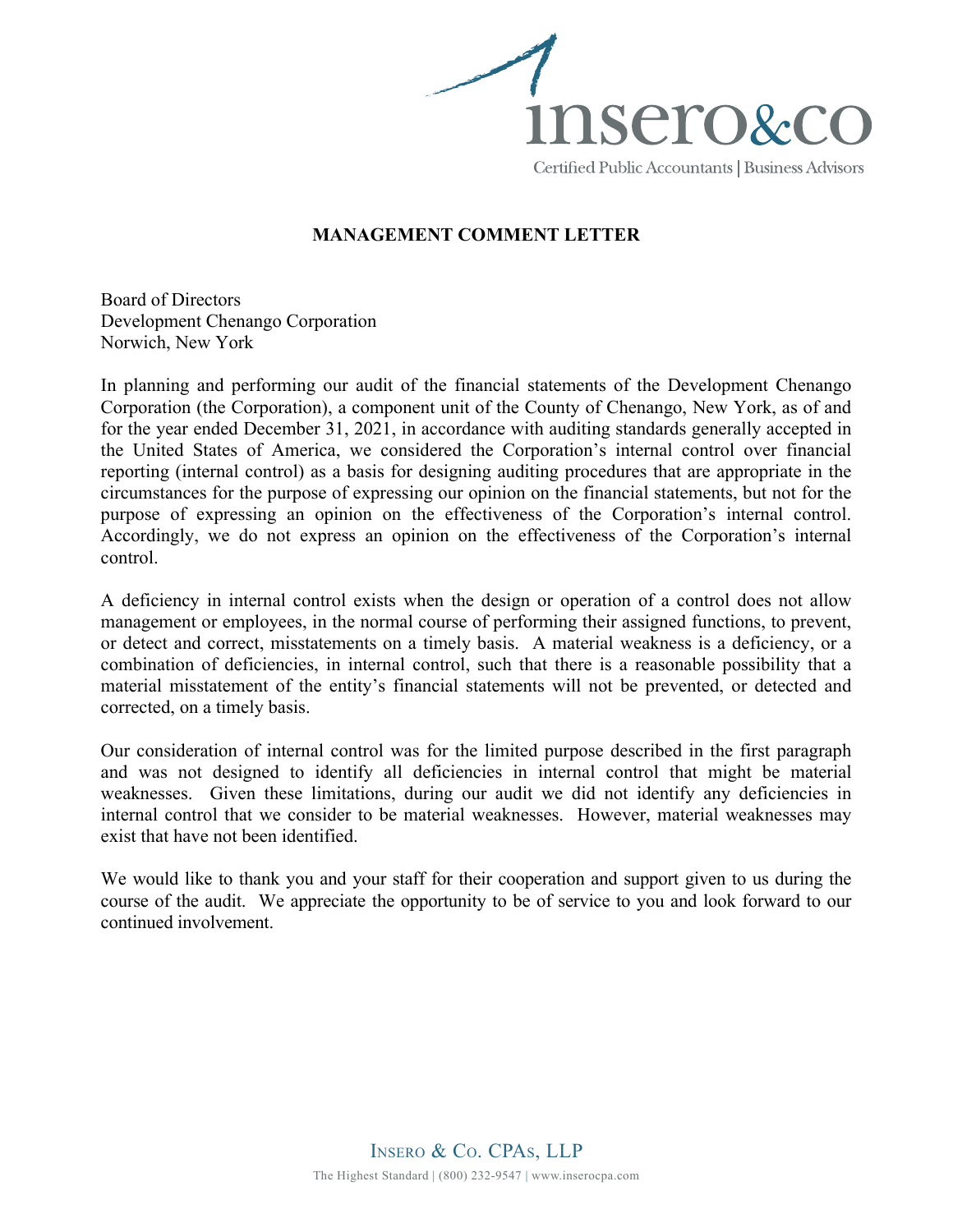

## **MANAGEMENT COMMENT LETTER**

Board of Directors Development Chenango Corporation Norwich, New York

In planning and performing our audit of the financial statements of the Development Chenango Corporation (the Corporation), a component unit of the County of Chenango, New York, as of and for the year ended December 31, 2021, in accordance with auditing standards generally accepted in the United States of America, we considered the Corporation's internal control over financial reporting (internal control) as a basis for designing auditing procedures that are appropriate in the circumstances for the purpose of expressing our opinion on the financial statements, but not for the purpose of expressing an opinion on the effectiveness of the Corporation's internal control. Accordingly, we do not express an opinion on the effectiveness of the Corporation's internal control.

A deficiency in internal control exists when the design or operation of a control does not allow management or employees, in the normal course of performing their assigned functions, to prevent, or detect and correct, misstatements on a timely basis. A material weakness is a deficiency, or a combination of deficiencies, in internal control, such that there is a reasonable possibility that a material misstatement of the entity's financial statements will not be prevented, or detected and corrected, on a timely basis.

Our consideration of internal control was for the limited purpose described in the first paragraph and was not designed to identify all deficiencies in internal control that might be material weaknesses. Given these limitations, during our audit we did not identify any deficiencies in internal control that we consider to be material weaknesses. However, material weaknesses may exist that have not been identified.

We would like to thank you and your staff for their cooperation and support given to us during the course of the audit. We appreciate the opportunity to be of service to you and look forward to our continued involvement.